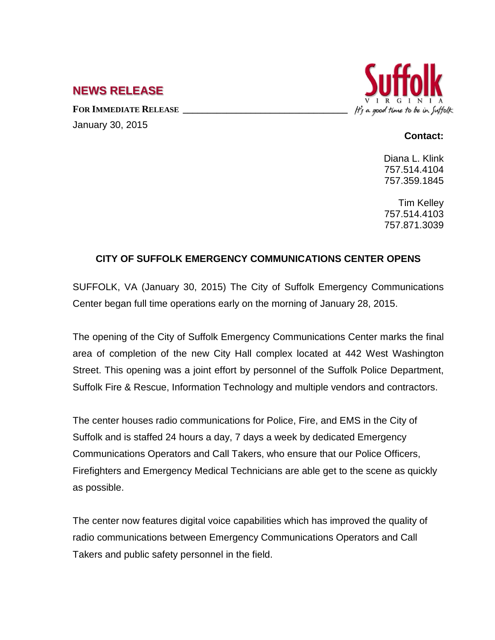## **NEWS RELEASE**

FOR **IMMEDIATE RELEASE** January 30, 2015



## **Contact:**

Diana L. Klink 757.514.4104 757.359.1845

Tim Kelley 757.514.4103 757.871.3039

## **CITY OF SUFFOLK EMERGENCY COMMUNICATIONS CENTER OPENS**

SUFFOLK, VA (January 30, 2015) The City of Suffolk Emergency Communications Center began full time operations early on the morning of January 28, 2015.

The opening of the City of Suffolk Emergency Communications Center marks the final area of completion of the new City Hall complex located at 442 West Washington Street. This opening was a joint effort by personnel of the Suffolk Police Department, Suffolk Fire & Rescue, Information Technology and multiple vendors and contractors.

The center houses radio communications for Police, Fire, and EMS in the City of Suffolk and is staffed 24 hours a day, 7 days a week by dedicated Emergency Communications Operators and Call Takers, who ensure that our Police Officers, Firefighters and Emergency Medical Technicians are able get to the scene as quickly as possible.

The center now features digital voice capabilities which has improved the quality of radio communications between Emergency Communications Operators and Call Takers and public safety personnel in the field.